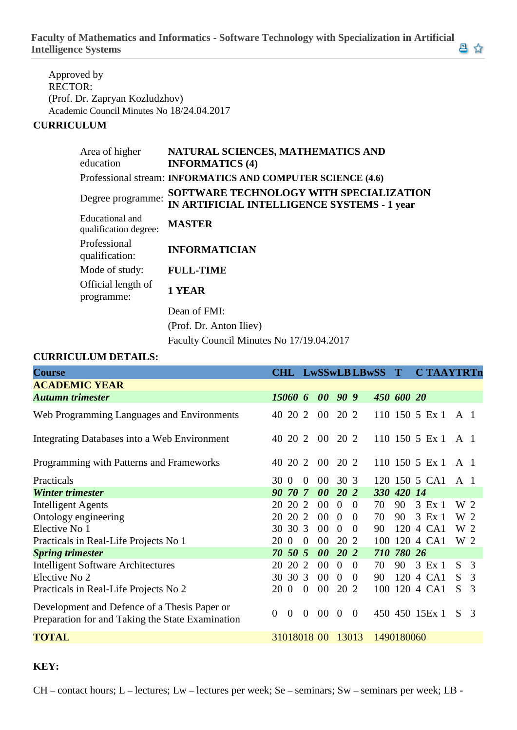**Faculty of Mathematics and Informatics - Software Technology with Specialization in Artificial Intelligence Systems**

Approved by RECTOR: (Prof. Dr. Zapryan Kozludzhov) Academic Council Minutes No 18/24.04.2017

## **CURRICULUM**

| Area of higher<br>education              | NATURAL SCIENCES, MATHEMATICS AND<br><b>INFORMATICS (4)</b>                                   |
|------------------------------------------|-----------------------------------------------------------------------------------------------|
|                                          | Professional stream: INFORMATICS AND COMPUTER SCIENCE (4.6)                                   |
| Degree programme:                        | SOFTWARE TECHNOLOGY WITH SPECIALIZATION<br><b>IN ARTIFICIAL INTELLIGENCE SYSTEMS - 1 year</b> |
| Educational and<br>qualification degree: | <b>MASTER</b>                                                                                 |
| Professional<br>qualification:           | <b>INFORMATICIAN</b>                                                                          |
| Mode of study:                           | <b>FULL-TIME</b>                                                                              |
| Official length of<br>programme:         | 1 YEAR                                                                                        |
|                                          | Dean of FMI:                                                                                  |
|                                          | (Prof. Dr. Anton Iliev)                                                                       |

Faculty Council Minutes No 17/19.04.2017

## **CURRICULUM DETAILS:**

| <b>Course</b>                                                                                    |                |                |                |             |                | <b>CHL LwSSwLB LBwSS</b> |     | $\bf T$    | <b>C TAAYTRTn</b> |     |    |
|--------------------------------------------------------------------------------------------------|----------------|----------------|----------------|-------------|----------------|--------------------------|-----|------------|-------------------|-----|----|
| <b>ACADEMIC YEAR</b>                                                                             |                |                |                |             |                |                          |     |            |                   |     |    |
| <b>Autumn trimester</b>                                                                          | 15060 6        |                |                | 00 90 9     |                |                          |     | 450 600 20 |                   |     |    |
| Web Programming Languages and Environments                                                       | 40 20 2        |                |                | 00 20 2     |                |                          |     |            | 110 150 5 Ex 1    | A 1 |    |
| Integrating Databases into a Web Environment                                                     | 40 20 2        |                |                | 00 20 2     |                |                          |     |            | 110 150 5 Ex 1    | A 1 |    |
| Programming with Patterns and Frameworks                                                         | 40             | 20 2           |                | 00 20 2     |                |                          |     |            | $110$ 150 5 Ex 1  | A 1 |    |
| Practicals                                                                                       | 30 O           |                | $\overline{0}$ | 00          | 30 3           |                          |     |            | 120 150 5 CA1     | A 1 |    |
| <b>Winter trimester</b>                                                                          | 90             | 70             | $\overline{7}$ | 00          | 20 2           |                          |     | 330 420 14 |                   |     |    |
| <b>Intelligent Agents</b>                                                                        | 20             | 20             | 2              | 00          | $\overline{0}$ | $\Omega$                 | 70  | 90         | 3 Ex 1            | W 2 |    |
| Ontology engineering                                                                             | 20             | 20             | 2              | 00          | $\overline{0}$ | $\Omega$                 | 70  | 90         | 3 Ex 1            | W 2 |    |
| Elective No 1                                                                                    | 30             | 30 3           |                | 00          | $\overline{0}$ | $\theta$                 | 90  |            | 120 4 CA1         | W 2 |    |
| Practicals in Real-Life Projects No 1                                                            | 20             | $\overline{0}$ | $\theta$       | 00          | 20 2           |                          | 100 |            | 120 4 CA1         | W 2 |    |
| <b>Spring trimester</b>                                                                          | 70 50 5        |                |                | 00          | 20 2           |                          |     | 710 780 26 |                   |     |    |
| <b>Intelligent Software Architectures</b>                                                        | 20             | 20             | 2              | 00          | $\overline{0}$ | $\theta$                 | 70  | 90         | 3 Ex 1            | S.  | 3  |
| Elective No 2                                                                                    | 30 30 3        |                |                | 00          | $\overline{0}$ | $\theta$                 | 90  |            | 120 4 CA1         | S.  | -3 |
| Practicals in Real-Life Projects No 2                                                            | 20             | $\overline{0}$ | $\overline{0}$ | 00          | 20 2           |                          | 100 |            | 120 4 CA1         | S   | 3  |
| Development and Defence of a Thesis Paper or<br>Preparation for and Taking the State Examination | $\overline{0}$ | $\overline{0}$ | $\theta$       | 00          | $\overline{0}$ | $\theta$                 |     |            | 450 450 15Ex 1    | S.  | 3  |
| <b>TOTAL</b>                                                                                     |                |                |                | 31018018 00 | 13013          |                          |     | 1490180060 |                   |     |    |

## **KEY:**

CH – contact hours; L – lectures; Lw – lectures per week; Se – seminars; Sw – seminars per week; LB -